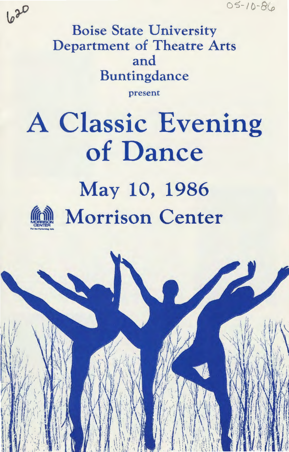$05 - 10 - 86$ 



 $630$ 

present

# A Classic Evening **of Dance**  May 10, 1986 **Morrison Center**

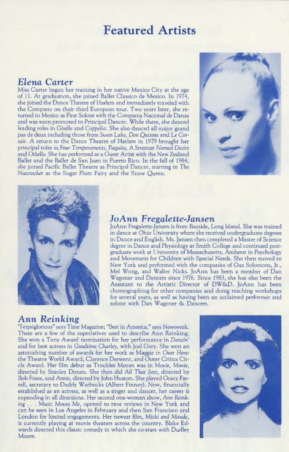## **Featured Artists**

#### *Elena Carter*

Miss Carter began her training in her native Mexico City at the age of 11. At graduation, she joined Ballet Classico de Mexico. In 1974, she joined the Dance Theatre of Harlem and immediately traveled with the Company on their third European tour. Two years later, she returned to Mexico as First Soloist with the Compania Nacional de Danza and was soon promoted to Principal Dancer. While there, she danced leading roles in *Giselle* and *Coppelia.* She also danced all major grand pas de deux including those from *Swan Lake,* Don *Quixote* and *Le Corsair.* A return to the Dance Theatre of Harlem in 1979 brought her principal roles in *Four Temperaments, Paquita, A Streetcar Named Desire*  and *Othello.* She has performed as a Guest Artist with the New Zealand Ballet and the Ballet de San Juan in Puerto Rico. In the fall of 1984, she joined Pacific Ballet Theatre as Principal Dancer, starring in *The Nutcracker* as the Sugar Plum Fairy and the Snow Queen.





## *JoAnn* Fregalette~Jansen JoAnn Fregalette-Jansen is from Bayside, Long Island. She was trained

in dance at Ohio University where she received undergraduate degrees in Dance and English. Ms. Jansen then completed a Master of Science degree in Dance and Physiology at Smith College and continued postgraduate work at University of Massachusetts, Amherst in Psychology and Movement for Children with Special Needs. She then moved to New York and performed with the companies of Gus Solomons, Jr., Mel Wong, and Walter Nicks. JoAnn has been a member of Dan Wagoner and Dancers since 1976. Since 1983, she has also been the Assistant to the Artistic Director of DW&D. JoAnn has been choreographing for other companies and doing teaching workshops for several years, as well as having been an acclaimed performer and soloist with Dan Wagoner & Dancers.

#### *Ann Reinking*

'Terpsiglorious" says Time Magazine; "Best in America," says Newsweek. These are a few of the superlatives used to describe Ann Reinking. She won a Tony Award nomination for her performance in Dancin' and for best actress in *Goodtime Charley,* with Joel Grey. She won an astonishing number of awards for her work as Maggie in *Over Here:*  the Theatre World Award, Clarence Derwent, and Outer Critics Circle Award. Her film debut as Troubles Moran was in *Movie, Movie,*  directed by Stanley Donen. She then did *All That Jazz,* directed by Bob Fosse, and Annie, directed by John Huston. She played Gracy Farrell, secretary to Daddy Warbucks (Albert Finney). Now, financially established as an actress, as well as a singer and dancer, her career is expanding in all directions. Her second one-woman show, Ann *Reink*ing. *Music Moves* Me, opened to rave reviews in New York and can be seen in Los Angeles in February and then San Francisco and London for limited engagements. Her newest film, *Micki and Maude,*  is currently playing at movie theaters across the country. Blake Edwards directed this classic comedy in which she co-stars with Dudley Moore.

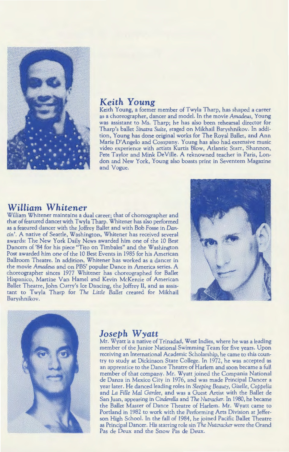

#### *Keith Young*

Keith Young, a former member of Twyla Tharp, has shaped a career as a choreographer, dancer and model. In the movie *Amadeus,* Young was assistant to Ms. Tharp; he has also been rehearsal director for Tharp's ballet *Sinatra Suite,* staged on Mikhail Baryshnikov. In addition, Young has done original works for The Royal Ballet, and Ann Marie D'Angelo and Company. Young has also had extensive music video experience with artists Kurtis Blow, Atlantic Starr, Shannon, Pete Taylor and Mink DeVille. A reknowned teacher in Paris, London and New York, Young also boasts print in Seventeen Magazine and Vogue.

#### *William Whitener*

William Whitener maintains a dual career; that of choreographer and that of featured dancer with T wyla Tharp. Whitener has also performed as a featured dancer with the Jaffrey Ballet and with Bob Fosse in *Dan*cin'. A native of Seattle, Washington, Whitener has received several awards: The New York Daily News awarded him one of the 10 Best Dancers of '84 for his piece "Tito on Timbales" and the Washington Post awarded him one of the 10 Best Events in 1985 for his American Ballroom Theatre. In addition, Whitener has worked as a dancer in the movie *Amadeus* and on PBS' popular Dance in America series. A choreographer sinces 1977 Whitener has choreographed for Ballet Hispanico, Martine Van Hamel and Kevin McKenzie of American Ballet Theatre, John Curry's lee Dancing, the Jaffrey II, and as assistant to T wyla Tharp for *The Little Ballet* created for Mikhail Baryshnikov.





#### *Joseph W yatt*

Mr. Wyatt is a native of Trinadad, West Indies, where he was a leading member of the Junior National Swimming Team for five years. Upon receiving an International Academic Scholarship, he came to this country to study at Dickinson State College. In 1972, he was accepted as an apprentice to the Dance Theatre of Harlem and soon became a full member of that company. Mr. Wyatt joined the Compania National de Danza in Mexico City in 1976, and was made Principal Dancer a year later. He danced leading roles in *Sleeping Beauty, Giselle, Coppelia*  and La *Fille Mal Gardee,* and was a Guest Artist with the Ballet de San Juan, appearing in *Cinderella* and The *Nutracker.* In 1980, he became the Ballet Master of Dance Theatre of Harlem. Mr. Wyatt came to Portland in 1982 to work with the Performing Arts Division at Jefferson High School. In the fall of 1984, he joined Pacific Ballet Theatre as Principal Dancer. His starring role sin *The Nutcracker* were the Grand Pas de Deux and the Snow Pas de Deux.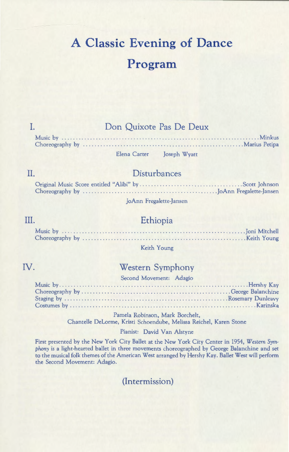# **A Classic Evening of Dance Program**

#### Don Quixote Pas De Deux

Elena Carter Joseph Wyatt

#### Disturbances

JoAnn Fregalette-Jansen

#### III.

II.

I.

#### Ethiopia

Keith Young

#### IV.

### Western Symphony

#### Second Movement: Adagio

Pamela Robinson, Mark Borchelt, Chantelle DeLorme, Kristi Schoendube, Melissa Reichel, Karen Stone

#### Pianist: David Van Alstyne

First presented by the New York City Ballet at the New York City Center in 1954, *Western Symphony* is a light-hearted ballet in three movements choreographed by George Balanchine and set to the musical folk themes of the American West arranged by Hershy Kay. Ballet West will perform the Second Movement: Adagio.

(Intermission)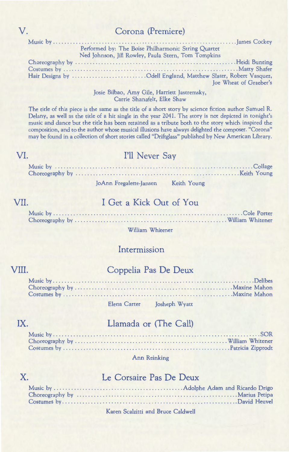#### Corona (Premiere)

| Performed by: The Boise Philharmonic String Quartet                                                |
|----------------------------------------------------------------------------------------------------|
| Ned Johnson, Jill Rowley, Paula Stern, Tom Tompkins                                                |
|                                                                                                    |
|                                                                                                    |
| Hair Designs by Odell England, Matthew Slater, Robert Vasquez,                                     |
| Joe Wheat of Graeber's                                                                             |
| $I_{\text{min}}$ $D(1)$ $A_{\text{max}}$ $C(1)$ $I_{\text{max}}$ $I_{\text{max}}$ $I_{\text{max}}$ |

#### Josie Bilbao, Amy Gile, Harriett Jastremsky, Carrie Shanafelt, Elke Shaw

The title of this piece is the same as the title of a short story by science fiction author Samuel R. Delany, as well as the title of a hit single in the year 2041. The story is not depicted in tonight's music and dance but the title has been retained as a tribute both to the story which inspired the composition, and to the author whose musical illusions have always delighted the composer. "Corona" may be found in a collection of short stories called "Driftglass" published by New American Library.

#### Music by .......... ... .. Collage Choreography by .Keith Young I'll Never Say

JoAnn Fregalette-Jansen Keith Young

#### VII.

VI.

#### I Get a Kick Out of You

William Whitener

#### Intermission

#### VIII.

#### Coppelia Pas De Deux

Elena Carter Josheph Wyatt

# Llamada or (The Call)

#### Ann Reinking

#### X.

IX.

#### Le Corsaire Pas De Deux

#### Karen Scalzitti and Bruce Caldwell

v.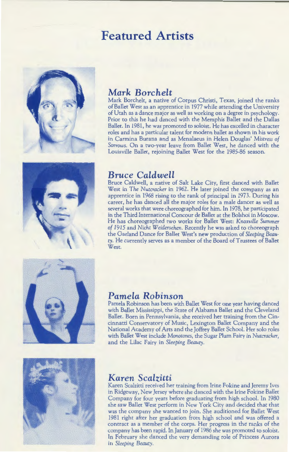## **Featured Artists**



#### *Mark Borchelt*

Mark Borchelt, a native of Corpus Christi, Texas, joined the ranks of Ballet West as an apprentice in 1977 while attending the University of Utah as a dance major as well as working on a degree in psychology. Prior to this he had danced with the Memphis Ballet and the Dallas Ballet. In 1981, he was promoted to soloist. He has excelled in character roles and has a particular talent for modern ballet as shown in his work in Carmina Burana and as Menalaeus in Helen Douglas' *Mistress of Sorrows.* On a two-year leave from Ballet West, he danced with the Louisville Ballet, rejoining Ballet West for the 1985-86 season.



#### *Bruce Caldwell*

Bruce Caldwell, a native of Salt Lake City, first danced with Ballet West in *The Nutcracker* in 1962. He later joined the company as an apprentice in 1968 rising to the rank of principal in 1973. During his career, he has danced all the major roles for a male dancer as well as several works that were choreographed for him. In 1978, he participated in the Third International Concour de Ballet at the Bolshoi in Moscow. He has choreographed two works for Ballet West: *Knoxville Summer of 1915* and Niche *Weidersehen .* Recently he was asked to choreograph the Garland Dance for Ballet West's new production of *Sleeping Beauty*. He currently serves as a member of the Board of Trustees of Ballet West.



#### *Pamela Robinson*

Pamela Robinson has been with Ballet West for one year having danced with Ballet Mississippi, the State of Alabama Ballet and the Cleveland Ballet. Born in Pennsylvania, she received her training from the Cincinnatti Conservatory of Music, Lexington Ballet Company and the National Academy of Arts and the Joffrey Ballet School. Her solo roles with Ballet West include *Monotones,* the Sugar Plum Fairy in *Nutcracker,*  and the Lilac Fairy in *Sleeping Beauty.* 



#### *Karen Scalzitti*

Karen Scalzitti received her training from lrine Fokine and Jeremy lves in Ridgeway, New Jersey where she danced with the lrine Fokine Ballet Company for four years before graduating from high school. In 1980 she saw Ballet West perform in New York City and decided that that was the company she wanted to join. She auditioned for Ballet West 1981 right after her graduation from high school and was offered a contract as a member of the corps. Her progress in the ranks of the company has been rapid. In January of 1986 she was promoted to soloist. In February she danced the very demanding role of Princess Aurora in *Sleeping Beauty.*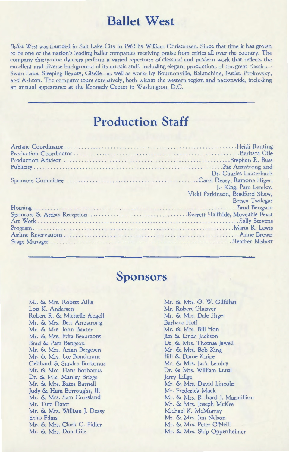## **Ballet West**

*Ballet West* was founded in Salt Lake City in 1963 by William Christensen. Since that time it has grown to be one of the nation's leading ballet companies receiving praise from critics all over the country. The company thirty-nine dancers perform a varied repertoire of classical and modern work that reflects the excellent and diverse background of its artistic staff, including elegant productions of the great classics-Swan Lake, Sleeping Beauty, Giselle-as well as works by Bournonville, Balanchine, Butler, Prokovsky, and Ashton. The company tours extensively, both within the western region and nationwide, including an annual appearance at the Kennedy Center in Washington, D.C.

## **Production Staff**

| Dr. Charles Lauterbach<br>the company's state of the company's |
|----------------------------------------------------------------|
|                                                                |
| Jo King, Pam Lemley,                                           |
| Vicki Parkinson, Bradford Shaw,                                |
| <b>Betsey Twilegar</b>                                         |
|                                                                |
|                                                                |
|                                                                |
|                                                                |
|                                                                |
|                                                                |
|                                                                |

## **Sponsors**

Mr. & Mrs. Robert Allis Lois K. Andersen Robert R. & Michelle Angell Mr. & Mrs. Bert Armstrong Mr. & Mrs. John Baxter Mr. & Mrs. Fritz Beaumont Brad & Pam Bengson Mr. & Mrs. Arian Bergesen Mr. & Mrs. Lee Bondurant Gebhard & Sandra Borbonus Mr. & Mrs. Hans Borbonus Dr. & Mrs. Manley Briggs Mr. & Mrs. Bates Burnell Judy & Ham Burroughs, III Mr. & Mrs. Sam Crossland Mr. Tom Dater Mr. & Mrs. William J. Deasy Echo Films Mr. & Mrs. Clark C. Fidler Mr. & Mrs. Don Gile

Mr. & Mrs. G. W. Gilfillan Mr. Robert Glaisyer Mr. & Mrs. Dale Higer Barbara Hoff Mr. & Mrs. Bill Hon Jim & Linda Jackson Dr. & Mrs. Thomas Jewell Mr. & Mrs. Bob King Bill & Diane Knipe Mr. & Mrs. Jack Lemley Dr. & Mrs. William Lenzi Jerry Lillge Mr. & Mrs. David Lincoln Mr. Frederick Mack Mr. & Mrs. Richard J. Marmillion Mr. & Mrs. Joseph McKee Michael K. McMurray Mr. & Mrs. Jim Nelson Mr. & Mrs. Peter O'Neill Mr. & Mrs. Skip Oppenheimer